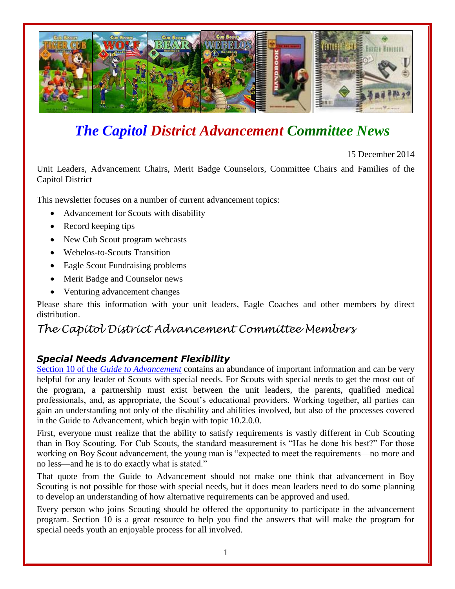

# *The Capitol District Advancement Committee News*

15 December 2014

Unit Leaders, Advancement Chairs, Merit Badge Counselors, Committee Chairs and Families of the Capitol District

This newsletter focuses on a number of current advancement topics:

- Advancement for Scouts with disability
- Record keeping tips
- New Cub Scout program webcasts
- Webelos-to-Scouts Transition
- Eagle Scout Fundraising problems
- Merit Badge and Counselor news
- Venturing advancement changes

Please share this information with your unit leaders, Eagle Coaches and other members by direct distribution.

# *The Capitol District Advancement Committee Members*

#### *Special Needs Advancement Flexibility*

Section 10 of the *[Guide to Advancement](http://www.scouting.org/Home/GuideToAdvancement/TOC.aspx)* contains an abundance of important information and can be very helpful for any leader of Scouts with special needs. For Scouts with special needs to get the most out of the program, a partnership must exist between the unit leaders, the parents, qualified medical professionals, and, as appropriate, the Scout's educational providers. Working together, all parties can gain an understanding not only of the disability and abilities involved, but also of the processes covered in the Guide to Advancement, which begin with topic 10.2.0.0.

First, everyone must realize that the ability to satisfy requirements is vastly different in Cub Scouting than in Boy Scouting. For Cub Scouts, the standard measurement is "Has he done his best?" For those working on Boy Scout advancement, the young man is "expected to meet the requirements—no more and no less—and he is to do exactly what is stated."

That quote from the Guide to Advancement should not make one think that advancement in Boy Scouting is not possible for those with special needs, but it does mean leaders need to do some planning to develop an understanding of how alternative requirements can be approved and used.

Every person who joins Scouting should be offered the opportunity to participate in the advancement program. Section 10 is a great resource to help you find the answers that will make the program for special needs youth an enjoyable process for all involved.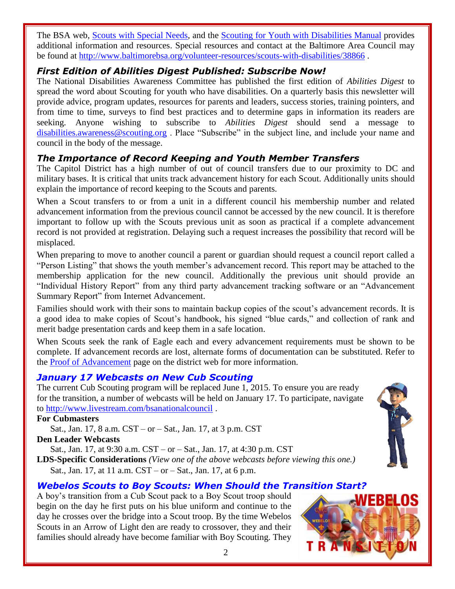The BSA web, [Scouts with Special Needs,](http://www.scouting.org/specialneeds.aspx) and the [Scouting for Youth with](http://www.scouting.org/filestore/pdf/34059.pdf) Disabilities Manual provides additional information and resources. Special resources and contact at the Baltimore Area Council may be found at<http://www.baltimorebsa.org/volunteer-resources/scouts-with-disabilities/38866> .

#### *First Edition of Abilities Digest Published: Subscribe Now!*

The National Disabilities Awareness Committee has published the first edition of *Abilities Digest* to spread the word about Scouting for youth who have disabilities. On a quarterly basis this newsletter will provide advice, program updates, resources for parents and leaders, success stories, training pointers, and from time to time, surveys to find best practices and to determine gaps in information its readers are seeking. Anyone wishing to subscribe to *Abilities Digest* should send a message to [disabilities.awareness@scouting.org](mailto:disabilities.awareness@scouting.org) . Place "Subscribe" in the subject line, and include your name and council in the body of the message.

# *The Importance of Record Keeping and Youth Member Transfers*

The Capitol District has a high number of out of council transfers due to our proximity to DC and military bases. It is critical that units track advancement history for each Scout. Additionally units should explain the importance of record keeping to the Scouts and parents.

When a Scout transfers to or from a unit in a different council his membership number and related advancement information from the previous council cannot be accessed by the new council. It is therefore important to follow up with the Scouts previous unit as soon as practical if a complete advancement record is not provided at registration. Delaying such a request increases the possibility that record will be misplaced.

When preparing to move to another council a parent or guardian should request a council report called a "Person Listing" that shows the youth member's advancement record. This report may be attached to the membership application for the new council. Additionally the previous unit should provide an "Individual History Report" from any third party advancement tracking software or an "Advancement Summary Report" from Internet Advancement.

Families should work with their sons to maintain backup copies of the scout's advancement records. It is a good idea to make copies of Scout's handbook, his signed "blue cards," and collection of rank and merit badge presentation cards and keep them in a safe location.

When Scouts seek the rank of Eagle each and every advancement requirements must be shown to be complete. If advancement records are lost, alternate forms of documentation can be substituted. Refer to the [Proof of Advancement](https://sites.google.com/site/daceagleadvancement/life-scouts/final-paperwork/proof-of-advancement-packet) page on the district web for more information.

## *January 17 Webcasts on New Cub Scouting*

The current Cub Scouting program will be replaced June 1, 2015. To ensure you are ready for the transition, a number of webcasts will be held on January 17. To participate, navigate to<http://www.livestream.com/bsanationalcouncil> .

#### **For Cubmasters**

Sat., Jan. 17, 8 a.m. CST – or – Sat., Jan. 17, at 3 p.m. CST

**Den Leader Webcasts**

Sat., Jan. 17, at 9:30 a.m. CST – or – Sat., Jan. 17, at 4:30 p.m. CST

**LDS-Specific Considerations** *(View one of the above webcasts before viewing this one.)* Sat., Jan. 17, at 11 a.m. CST – or – Sat., Jan. 17, at 6 p.m.

# *Webelos Scouts to Boy Scouts: When Should the Transition Start?*

A boy's transition from a Cub Scout pack to a Boy Scout troop should begin on the day he first puts on his blue uniform and continue to the day he crosses over the bridge into a Scout troop. By the time Webelos Scouts in an Arrow of Light den are ready to crossover, they and their families should already have become familiar with Boy Scouting. They



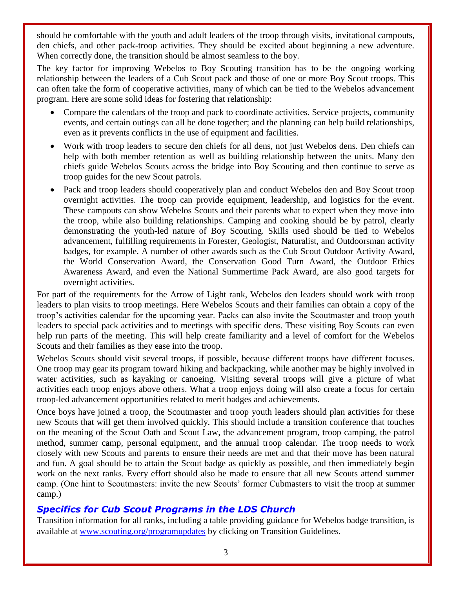should be comfortable with the youth and adult leaders of the troop through visits, invitational campouts, den chiefs, and other pack-troop activities. They should be excited about beginning a new adventure. When correctly done, the transition should be almost seamless to the boy.

The key factor for improving Webelos to Boy Scouting transition has to be the ongoing working relationship between the leaders of a Cub Scout pack and those of one or more Boy Scout troops. This can often take the form of cooperative activities, many of which can be tied to the Webelos advancement program. Here are some solid ideas for fostering that relationship:

- Compare the calendars of the troop and pack to coordinate activities. Service projects, community events, and certain outings can all be done together; and the planning can help build relationships, even as it prevents conflicts in the use of equipment and facilities.
- Work with troop leaders to secure den chiefs for all dens, not just Webelos dens. Den chiefs can help with both member retention as well as building relationship between the units. Many den chiefs guide Webelos Scouts across the bridge into Boy Scouting and then continue to serve as troop guides for the new Scout patrols.
- Pack and troop leaders should cooperatively plan and conduct Webelos den and Boy Scout troop overnight activities. The troop can provide equipment, leadership, and logistics for the event. These campouts can show Webelos Scouts and their parents what to expect when they move into the troop, while also building relationships. Camping and cooking should be by patrol, clearly demonstrating the youth-led nature of Boy Scouting. Skills used should be tied to Webelos advancement, fulfilling requirements in Forester, Geologist, Naturalist, and Outdoorsman activity badges, for example. A number of other awards such as the Cub Scout Outdoor Activity Award, the World Conservation Award, the Conservation Good Turn Award, the Outdoor Ethics Awareness Award, and even the National Summertime Pack Award, are also good targets for overnight activities.

For part of the requirements for the Arrow of Light rank, Webelos den leaders should work with troop leaders to plan visits to troop meetings. Here Webelos Scouts and their families can obtain a copy of the troop's activities calendar for the upcoming year. Packs can also invite the Scoutmaster and troop youth leaders to special pack activities and to meetings with specific dens. These visiting Boy Scouts can even help run parts of the meeting. This will help create familiarity and a level of comfort for the Webelos Scouts and their families as they ease into the troop.

Webelos Scouts should visit several troops, if possible, because different troops have different focuses. One troop may gear its program toward hiking and backpacking, while another may be highly involved in water activities, such as kayaking or canoeing. Visiting several troops will give a picture of what activities each troop enjoys above others. What a troop enjoys doing will also create a focus for certain troop-led advancement opportunities related to merit badges and achievements.

Once boys have joined a troop, the Scoutmaster and troop youth leaders should plan activities for these new Scouts that will get them involved quickly. This should include a transition conference that touches on the meaning of the Scout Oath and Scout Law, the advancement program, troop camping, the patrol method, summer camp, personal equipment, and the annual troop calendar. The troop needs to work closely with new Scouts and parents to ensure their needs are met and that their move has been natural and fun. A goal should be to attain the Scout badge as quickly as possible, and then immediately begin work on the next ranks. Every effort should also be made to ensure that all new Scouts attend summer camp. (One hint to Scoutmasters: invite the new Scouts' former Cubmasters to visit the troop at summer camp.)

#### *Specifics for Cub Scout Programs in the LDS Church*

Transition information for all ranks, including a table providing guidance for Webelos badge transition, is available at [www.scouting.org/programupdates](http://www.scouting.org/programupdates) by clicking on Transition Guidelines.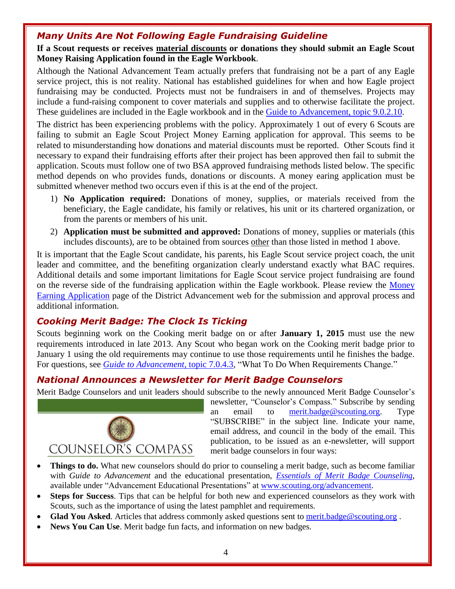## *Many Units Are Not Following Eagle Fundraising Guideline*

#### **If a Scout requests or receives material discounts or donations they should submit an Eagle Scout Money Raising Application found in the Eagle Workbook**.

Although the National Advancement Team actually prefers that fundraising not be a part of any Eagle service project, this is not reality. National has established guidelines for when and how Eagle project fundraising may be conducted. Projects must not be fundraisers in and of themselves. Projects may include a fund-raising component to cover materials and supplies and to otherwise facilitate the project. These guidelines are included in the Eagle workbook and in the Guide to [Advancement,](http://www.scouting.org/Home/GuideToAdvancement/EagleScoutRank.aspx#90210) topic 9.0.2.10.

The district has been experiencing problems with the policy. Approximately 1 out of every 6 Scouts are failing to submit an Eagle Scout Project Money Earning application for approval. This seems to be related to misunderstanding how donations and material discounts must be reported. Other Scouts find it necessary to expand their fundraising efforts after their project has been approved then fail to submit the application. Scouts must follow one of two BSA approved fundraising methods listed below. The specific method depends on who provides funds, donations or discounts. A money earing application must be submitted whenever method two occurs even if this is at the end of the project.

- 1) **No Application required:** Donations of money, supplies, or materials received from the beneficiary, the Eagle candidate, his family or relatives, his unit or its chartered organization, or from the parents or members of his unit.
- 2) **Application must be submitted and approved:** Donations of money, supplies or materials (this includes discounts), are to be obtained from sources other than those listed in method 1 above.

It is important that the Eagle Scout candidate, his parents, his Eagle Scout service project coach, the unit leader and committee, and the benefiting organization clearly understand exactly what BAC requires. Additional details and some important limitations for Eagle Scout service project fundraising are found on the reverse side of the fundraising application within the Eagle workbook. Please review the [Money](https://sites.google.com/site/daceagleadvancement/life-scouts/money-earning-application) Earning [Application](https://sites.google.com/site/daceagleadvancement/life-scouts/money-earning-application) page of the District Advancement web for the submission and approval process and additional information.

#### *Cooking Merit Badge: The Clock Is Ticking*

Scouts beginning work on the Cooking merit badge on or after **January 1, 2015** must use the new requirements introduced in late 2013. Any Scout who began work on the Cooking merit badge prior to January 1 using the old requirements may continue to use those requirements until he finishes the badge. For questions, see *Guide to [Advancement](http://www.scouting.org/Home/GuideToAdvancement/TheMeritBadgeProgram.aspx#7043)*, topic 7.0.4.3, "What To Do When Requirements Change."

## *National Announces a Newsletter for Merit Badge Counselors*

Merit Badge Counselors and unit leaders should subscribe to the newly announced Merit Badge Counselor's



newsletter, "Counselor's Compass." Subscribe by sending an email to [merit.badge@scouting.org.](mailto:merit.badge@scouting.org) Type "SUBSCRIBE" in the subject line. Indicate your name, email address, and council in the body of the email. This publication, to be issued as an e-newsletter, will support merit badge counselors in four ways:

- **Things to do.** What new counselors should do prior to counseling a merit badge, such as become familiar with *Guide to Advancement* and the educational presentation, *Essentials of Merit Badge [Counseling](http://www.scouting.org/filestore/training/advancement/Merit_Badge_Counselor/The_Essentials.ppt)*, available under "Advancement Educational Presentations" at [www.scouting.org/advancement.](http://www.scouting.org/advancement)
- **Steps for Success**. Tips that can be helpful for both new and experienced counselors as they work with Scouts, such as the importance of using the latest pamphlet and requirements.
- **Glad You Asked**. Articles that address commonly asked questions sent to [merit.badge@scouting.org](mailto:merit.badge@scouting.org).
- **News You Can Use**. Merit badge fun facts, and information on new badges.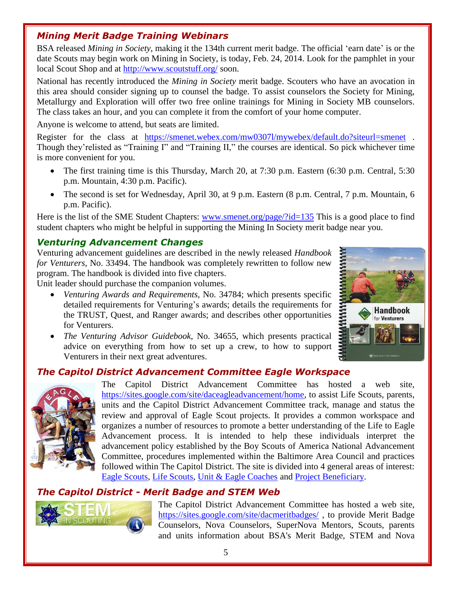## *Mining Merit Badge Training Webinars*

BSA released *Mining in Society*, making it the 134th current merit badge. The official 'earn date' is or the date Scouts may begin work on Mining in Society, is today, Feb. 24, 2014. Look for the pamphlet in your local Scout Shop and at <http://www.scoutstuff.org/> soon.

National has recently introduced the *Mining in Society* merit badge. Scouters who have an avocation in this area should consider signing up to counsel the badge. To assist counselors the Society for Mining, Metallurgy and Exploration will offer two free online trainings for Mining in Society MB counselors. The class takes an hour, and you can complete it from the comfort of your home computer.

Anyone is welcome to attend, but seats are limited.

Register for the class [at](https://smenet.webex.com/mw0307l/mywebex/default.do?siteurl=smenet) <https://smenet.webex.com/mw0307l/mywebex/default.do?siteurl=smenet> . Though they'relisted as "Training I" and "Training II," the courses are identical. So pick whichever time is more convenient for you.

- The first training time is this Thursday, March 20, at 7:30 p.m. Eastern (6:30 p.m. Central, 5:30 p.m. Mountain, 4:30 p.m. Pacific).
- The second is set for Wednesday, April 30, at 9 p.m. Eastern (8 p.m. Central, 7 p.m. Mountain, 6 p.m. Pacific).

Here is the list of the SME Student Chapters: [www.smenet.org/page/?id=135](http://www.smenet.org/page/?id=135) This is a good place to find student chapters who might be helpful in supporting the Mining In Society merit badge near you.

## *Venturing Advancement Changes*

Venturing advancement guidelines are described in the newly released *Handbook for Venturers,* No. 33494. The handbook was completely rewritten to follow new program. The handbook is divided into five chapters.

Unit leader should purchase the companion volumes.

- *Venturing Awards and Requirements*, No. 34784; which presents specific detailed requirements for Venturing's awards; details the requirements for the TRUST, Quest, and Ranger awards; and describes other opportunities for Venturers.
- *The Venturing Advisor Guidebook*, No. 34655, which presents practical advice on everything from how to set up a crew, to how to support Venturers in their next great adventures.



# *The Capitol District Advancement Committee Eagle Workspace*



The Capitol District Advancement Committee has hosted a web site, [https://sites.google.com/site/daceagleadvancement/home,](https://sites.google.com/site/daceagleadvancement/home) to assist Life Scouts, parents, units and the Capitol District Advancement Committee track, manage and status the review and approval of Eagle Scout projects. It provides a common workspace and organizes a number of resources to promote a better understanding of the Life to Eagle Advancement process. It is intended to help these individuals interpret the advancement policy established by the Boy Scouts of America National Advancement Committee, procedures implemented within the Baltimore Area Council and practices followed within The Capitol District. The site is divided into 4 general areas of interest: Eagle [Scouts,](https://sites.google.com/site/daceagleadvancement/eagles-nest) Life [Scouts,](https://sites.google.com/site/daceagleadvancement/life-scouts) Unit & Eagle [Coaches](https://sites.google.com/site/daceagleadvancement/eagle-coaches) and Project [Beneficiary.](https://sites.google.com/site/daceagleadvancement/project-beneficiary)

# *The Capitol [District](https://sites.google.com/site/dacmeritbadges/) - Merit Badge and STEM Web*



The Capitol District Advancement Committee has hosted a web site, <https://sites.google.com/site/dacmeritbadges/> , to provide Merit Badge Counselors, Nova Counselors, SuperNova Mentors, Scouts, parents and units information about BSA's Merit Badge, STEM and Nova